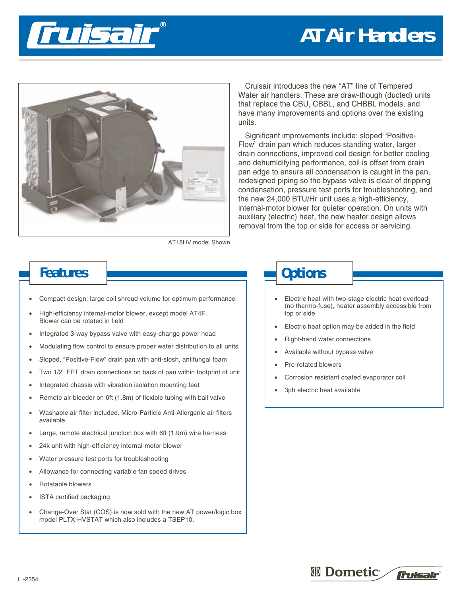# **AT Air Handlers**





Cruisair introduces the new "AT" line of Tempered Water air handlers. These are draw-though (ducted) units that replace the CBU, CBBL, and CHBBL models, and have many improvements and options over the existing units.

Significant improvements include: sloped "Positive-Flow" drain pan which reduces standing water, larger drain connections, improved coil design for better cooling and dehumidifying performance, coil is offset from drain pan edge to ensure all condensation is caught in the pan, redesigned piping so the bypass valve is clear of dripping condensation, pressure test ports for troubleshooting, and the new 24,000 BTU/Hr unit uses a high-efficiency, internal-motor blower for quieter operation. On units with auxiliary (electric) heat, the new heater design allows removal from the top or side for access or servicing.

AT18HV model Shown

- Compact design; large coil shroud volume for optimum performance
- High-efficiency internal-motor blower, except model AT4F. Blower can be rotated in field
- Integrated 3-way bypass valve with easy-change power head
- Modulating flow control to ensure proper water distribution to all units
- Sloped, "Positive-Flow" drain pan with anti-slosh, antifungal foam
- Two 1/2" FPT drain connections on back of pan within footprint of unit
- Integrated chassis with vibration isolation mounting feet
- Remote air bleeder on 6ft (1.8m) of flexible tubing with ball valve
- Washable air filter included. Micro-Particle Anti-Allergenic air filters available.
- Large, remote electrical junction box with 6ft (1.9m) wire harness
- 24k unit with high-efficiency internal-motor blower
- Water pressure test ports for troubleshooting
- Allowance for connecting variable fan speed drives
- Rotatable blowers
- ISTA certified packaging
- Change-Over Stat (COS) is now sold with the new AT power/logic box model PLTX-HVSTAT which also includes a TSEP10.

## **Features Depending Line 2008 and 2009 and 2009 and 2009 and 2009 and 2009 and 2009 and 2009 and 2009 and 2009 and 2009 and 2009 and 2009 and 2009 and 2009 and 2009 and 2009 and 2009 and 2009 and 2009 and 2009 and 2009 a**

- Electric heat with two-stage electric heat overload (no thermo-fuse), heater assembly accessible from top or side
- Electric heat option may be added in the field
- Right-hand water connections
- Available without bypass valve
- Pre-rotated blowers
- Corrosion resistant coated evaporator coil
- 3ph electric heat available